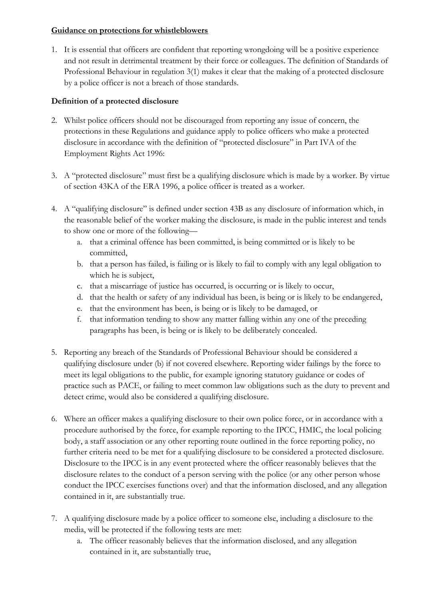## **Guidance on protections for whistleblowers**

1. It is essential that officers are confident that reporting wrongdoing will be a positive experience and not result in detrimental treatment by their force or colleagues. The definition of Standards of Professional Behaviour in regulation 3(1) makes it clear that the making of a protected disclosure by a police officer is not a breach of those standards.

# **Definition of a protected disclosure**

- 2. Whilst police officers should not be discouraged from reporting any issue of concern, the protections in these Regulations and guidance apply to police officers who make a protected disclosure in accordance with the definition of "protected disclosure" in Part IVA of the Employment Rights Act 1996:
- 3. A "protected disclosure" must first be a qualifying disclosure which is made by a worker. By virtue of section 43KA of the ERA 1996, a police officer is treated as a worker.
- 4. A "qualifying disclosure" is defined under section 43B as any disclosure of information which, in the reasonable belief of the worker making the disclosure, is made in the public interest and tends to show one or more of the following
	- a. that a criminal offence has been committed, is being committed or is likely to be committed,
	- b. that a person has failed, is failing or is likely to fail to comply with any legal obligation to which he is subject,
	- c. that a miscarriage of justice has occurred, is occurring or is likely to occur,
	- d. that the health or safety of any individual has been, is being or is likely to be endangered,
	- e. that the environment has been, is being or is likely to be damaged, or
	- f. that information tending to show any matter falling within any one of the preceding paragraphs has been, is being or is likely to be deliberately concealed.
- 5. Reporting any breach of the Standards of Professional Behaviour should be considered a qualifying disclosure under (b) if not covered elsewhere. Reporting wider failings by the force to meet its legal obligations to the public, for example ignoring statutory guidance or codes of practice such as PACE, or failing to meet common law obligations such as the duty to prevent and detect crime, would also be considered a qualifying disclosure.
- 6. Where an officer makes a qualifying disclosure to their own police force, or in accordance with a procedure authorised by the force, for example reporting to the IPCC, HMIC, the local policing body, a staff association or any other reporting route outlined in the force reporting policy, no further criteria need to be met for a qualifying disclosure to be considered a protected disclosure. Disclosure to the IPCC is in any event protected where the officer reasonably believes that the disclosure relates to the conduct of a person serving with the police (or any other person whose conduct the IPCC exercises functions over) and that the information disclosed, and any allegation contained in it, are substantially true.
- 7. A qualifying disclosure made by a police officer to someone else, including a disclosure to the media, will be protected if the following tests are met:
	- a. The officer reasonably believes that the information disclosed, and any allegation contained in it, are substantially true,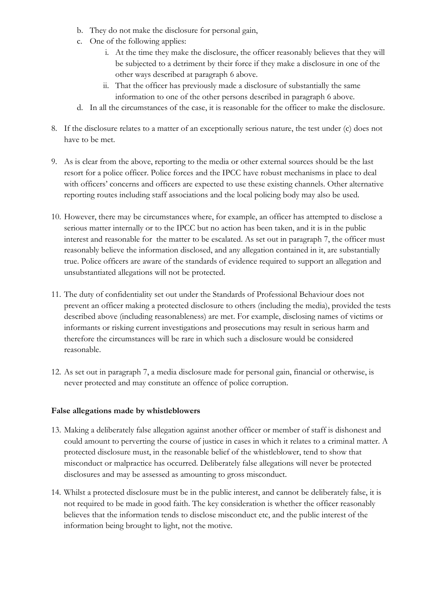- b. They do not make the disclosure for personal gain,
- c. One of the following applies:
	- i. At the time they make the disclosure, the officer reasonably believes that they will be subjected to a detriment by their force if they make a disclosure in one of the other ways described at paragraph 6 above.
	- ii. That the officer has previously made a disclosure of substantially the same information to one of the other persons described in paragraph 6 above.
- d. In all the circumstances of the case, it is reasonable for the officer to make the disclosure.
- 8. If the disclosure relates to a matter of an exceptionally serious nature, the test under (c) does not have to be met.
- 9. As is clear from the above, reporting to the media or other external sources should be the last resort for a police officer. Police forces and the IPCC have robust mechanisms in place to deal with officers' concerns and officers are expected to use these existing channels. Other alternative reporting routes including staff associations and the local policing body may also be used.
- 10. However, there may be circumstances where, for example, an officer has attempted to disclose a serious matter internally or to the IPCC but no action has been taken, and it is in the public interest and reasonable for the matter to be escalated. As set out in paragraph 7, the officer must reasonably believe the information disclosed, and any allegation contained in it, are substantially true. Police officers are aware of the standards of evidence required to support an allegation and unsubstantiated allegations will not be protected.
- 11. The duty of confidentiality set out under the Standards of Professional Behaviour does not prevent an officer making a protected disclosure to others (including the media), provided the tests described above (including reasonableness) are met. For example, disclosing names of victims or informants or risking current investigations and prosecutions may result in serious harm and therefore the circumstances will be rare in which such a disclosure would be considered reasonable.
- 12. As set out in paragraph 7, a media disclosure made for personal gain, financial or otherwise, is never protected and may constitute an offence of police corruption.

## **False allegations made by whistleblowers**

- 13. Making a deliberately false allegation against another officer or member of staff is dishonest and could amount to perverting the course of justice in cases in which it relates to a criminal matter. A protected disclosure must, in the reasonable belief of the whistleblower, tend to show that misconduct or malpractice has occurred. Deliberately false allegations will never be protected disclosures and may be assessed as amounting to gross misconduct.
- 14. Whilst a protected disclosure must be in the public interest, and cannot be deliberately false, it is not required to be made in good faith. The key consideration is whether the officer reasonably believes that the information tends to disclose misconduct etc, and the public interest of the information being brought to light, not the motive.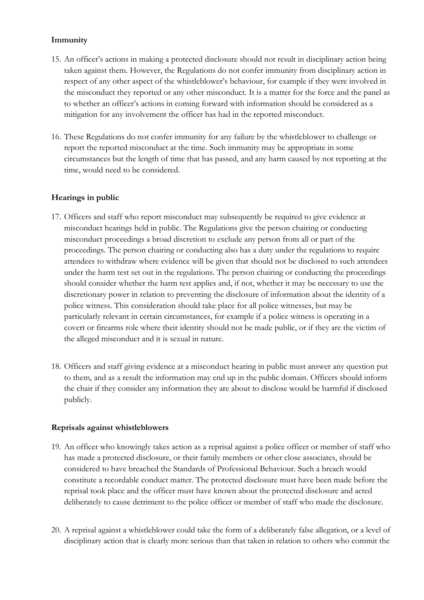## **Immunity**

- 15. An officer's actions in making a protected disclosure should not result in disciplinary action being taken against them. However, the Regulations do not confer immunity from disciplinary action in respect of any other aspect of the whistleblower's behaviour, for example if they were involved in the misconduct they reported or any other misconduct. It is a matter for the force and the panel as to whether an officer's actions in coming forward with information should be considered as a mitigation for any involvement the officer has had in the reported misconduct.
- 16. These Regulations do not confer immunity for any failure by the whistleblower to challenge or report the reported misconduct at the time. Such immunity may be appropriate in some circumstances but the length of time that has passed, and any harm caused by not reporting at the time, would need to be considered.

## **Hearings in public**

- 17. Officers and staff who report misconduct may subsequently be required to give evidence at misconduct hearings held in public. The Regulations give the person chairing or conducting misconduct proceedings a broad discretion to exclude any person from all or part of the proceedings. The person chairing or conducting also has a duty under the regulations to require attendees to withdraw where evidence will be given that should not be disclosed to such attendees under the harm test set out in the regulations. The person chairing or conducting the proceedings should consider whether the harm test applies and, if not, whether it may be necessary to use the discretionary power in relation to preventing the disclosure of information about the identity of a police witness. This consideration should take place for all police witnesses, but may be particularly relevant in certain circumstances, for example if a police witness is operating in a covert or firearms role where their identity should not be made public, or if they are the victim of the alleged misconduct and it is sexual in nature.
- 18. Officers and staff giving evidence at a misconduct hearing in public must answer any question put to them, and as a result the information may end up in the public domain. Officers should inform the chair if they consider any information they are about to disclose would be harmful if disclosed publicly.

## **Reprisals against whistleblowers**

- 19. An officer who knowingly takes action as a reprisal against a police officer or member of staff who has made a protected disclosure, or their family members or other close associates, should be considered to have breached the Standards of Professional Behaviour. Such a breach would constitute a recordable conduct matter. The protected disclosure must have been made before the reprisal took place and the officer must have known about the protected disclosure and acted deliberately to cause detriment to the police officer or member of staff who made the disclosure.
- 20. A reprisal against a whistleblower could take the form of a deliberately false allegation, or a level of disciplinary action that is clearly more serious than that taken in relation to others who commit the